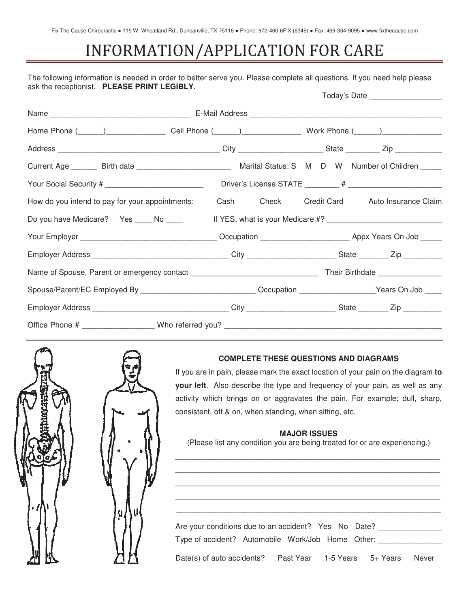# INFORMATION/APPLICATION FOR CARE

The following information is needed in order to better serve you. Please complete all questions. If you need help please ask the receptionist. **PLEASE PRINT LEGIBLY**. Today's Date \_\_\_\_\_\_\_\_\_\_\_\_\_\_\_\_\_

|                                                                                                                                        |  | Today's Date                                |
|----------------------------------------------------------------------------------------------------------------------------------------|--|---------------------------------------------|
|                                                                                                                                        |  |                                             |
| Home Phone (______)_________________________Cell Phone (______)________________________Work Phone (______)____________________________ |  |                                             |
|                                                                                                                                        |  |                                             |
| Current Age _______ Birth date ____________________________ Marital Status: S M D W Number of Children _____                           |  |                                             |
| Your Social Security # ____________________________                                                                                    |  |                                             |
| How do you intend to pay for your appointments:                                                                                        |  | Cash Check Credit Card Auto Insurance Claim |
| Do you have Medicare?  Yes _____ No _____                                                                                              |  |                                             |
|                                                                                                                                        |  |                                             |
|                                                                                                                                        |  |                                             |
|                                                                                                                                        |  |                                             |
| Spouse/Parent/EC Employed By ____________________________Occupation __________________Years On Job _____                               |  |                                             |
| Employer Address _________________________________City ______________________State _________Zip ______________                         |  |                                             |
|                                                                                                                                        |  |                                             |



## **COMPLETE THESE QUESTIONS AND DIAGRAMS**

If you are in pain, please mark the exact location of your pain on the diagram **to your left**. Also describe the type and frequency of your pain, as well as any activity which brings on or aggravates the pain. For example; dull, sharp, consistent, off & on, when standing, when sitting, etc.

### **MAJOR ISSUES**

(Please list any condition you are being treated for or are experiencing.) \_\_\_\_\_\_\_\_\_\_\_\_\_\_\_\_\_\_\_\_\_\_\_\_\_\_\_\_\_\_\_\_\_\_\_\_\_\_\_\_\_\_\_\_\_\_\_\_\_\_\_\_\_\_\_\_\_\_\_\_\_\_

\_\_\_\_\_\_\_\_\_\_\_\_\_\_\_\_\_\_\_\_\_\_\_\_\_\_\_\_\_\_\_\_\_\_\_\_\_\_\_\_\_\_\_\_\_\_\_\_\_\_\_\_\_\_\_\_\_\_\_\_\_\_ \_\_\_\_\_\_\_\_\_\_\_\_\_\_\_\_\_\_\_\_\_\_\_\_\_\_\_\_\_\_\_\_\_\_\_\_\_\_\_\_\_\_\_\_\_\_\_\_\_\_\_\_\_\_\_\_\_\_\_\_\_\_ \_\_\_\_\_\_\_\_\_\_\_\_\_\_\_\_\_\_\_\_\_\_\_\_\_\_\_\_\_\_\_\_\_\_\_\_\_\_\_\_\_\_\_\_\_\_\_\_\_\_\_\_\_\_\_\_\_\_\_\_\_\_ \_\_\_\_\_\_\_\_\_\_\_\_\_\_\_\_\_\_\_\_\_\_\_\_\_\_\_\_\_\_\_\_\_\_\_\_\_\_\_\_\_\_\_\_\_\_\_\_\_\_\_\_\_\_\_\_\_\_\_\_\_\_

| Are your conditions due to an accident? Yes No Date?       |  |       |
|------------------------------------------------------------|--|-------|
| Type of accident? Automobile Work/Job Home Other:          |  |       |
| Date(s) of auto accidents?  Past Year  1-5 Years  5+ Years |  | Never |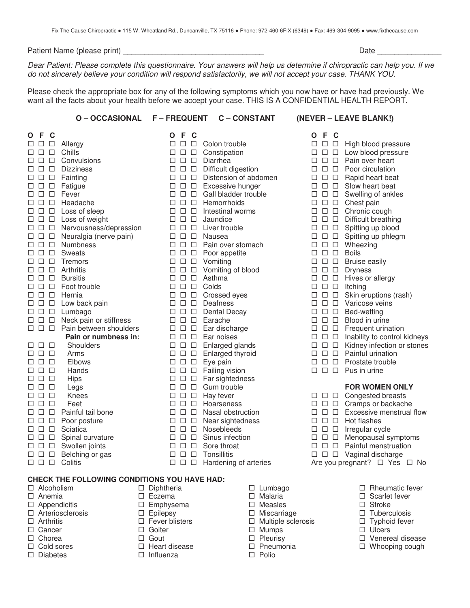Patient Name (please print) **Date and Security** and Security and Security and Security and Security and Security and Security and Security and Security and Security and Security and Security and Security and Security and S

*Dear Patient: Please complete this questionnaire. Your answers will help us determine if chiropractic can help you. If we do not sincerely believe your condition will respond satisfactorily, we will not accept your case. THANK YOU.* 

Please check the appropriate box for any of the following symptoms which you now have or have had previously. We want all the facts about your health before we accept your case. THIS IS A CONFIDENTIAL HEALTH REPORT.

# **O – OCCASIONAL F – FREQUENT C – CONSTANT (NEVER – LEAVE BLANK!)**

| F.<br>C<br>O                                 |                        | Ο      | -F                   | C      |                         | O      | F       | C      |
|----------------------------------------------|------------------------|--------|----------------------|--------|-------------------------|--------|---------|--------|
| $\Box$<br>□                                  | Allergy                | П      | □                    | □      | Colon trouble           |        |         | □      |
| $\Box$ $\Box$<br>П                           | Chills                 | □      | $\Box$               | □      | Constipation            | П      | П       | П      |
| $\Box$                                       | Convulsions            | П.     | $\Box$               | $\Box$ | Diarrhea                | п      | П       | П      |
| $\Box$<br>$\Box$<br>□                        | <b>Dizziness</b>       |        | $\Box$ $\Box$        | $\Box$ | Difficult digestion     | □      | П       | □      |
| $\Box$<br>$\Box$<br>□                        | Fainting               | 0      | $\Box$               | $\Box$ | Distension of abdomen   | □      | □       | □      |
| $\Box$<br>□<br>П                             | Fatigue                | п      | $\Box$               | $\Box$ | Excessive hunger        | П      | П       | □      |
| $\Box$ $\Box$<br>п                           | Fever                  | п      | $\Box$               | $\Box$ | Gall bladder trouble    | П.     | П       | П      |
| $\Box$ $\Box$<br>□                           | Headache               | $\Box$ | $\Box$               | $\Box$ | Hemorrhoids             | 0      | п       | □      |
| $\Box$ $\Box$<br>□                           | Loss of sleep          | □      | $\Box$               | $\Box$ | Intestinal worms        | п      | П       | □      |
| $\Box$ $\Box$<br>□                           | Loss of weight         | $\Box$ | $\Box$               | $\Box$ | Jaundice                | □.     | п       | □      |
| $\Box$ $\Box$<br>□                           | Nervousness/depression | П.     | $\Box$               | $\Box$ | Liver trouble           | П.     | п       | П      |
| $\Box$ $\Box$<br>□                           | Neuralgia (nerve pain) | $\Box$ | $\Box$               | $\Box$ | Nausea                  | $\Box$ | П       | $\Box$ |
| $\Box$<br>$\Box$<br>□                        | <b>Numbness</b>        | п      | $\Box$               | $\Box$ | Pain over stomach       | □      | П       | П      |
| $\Box$<br>$\Box$<br>п                        | Sweats                 | $\Box$ | $\Box$               | $\Box$ | Poor appetite           | 0      | П       | □      |
| $\Box$<br>$\Box$<br>п                        | Tremors                |        | $\Box$ $\Box$ $\Box$ |        | Vomiting                | п      | $\Box$  | П      |
| $\Box$ $\Box$<br>□                           | Arthritis              | $\Box$ | $\Box$               | $\Box$ | Vomiting of blood       | □.     | П       | □      |
| $\Box$ $\Box$<br>п                           | <b>Bursitis</b>        |        | $\Box$<br>$\Box$     | $\Box$ | Asthma                  | П.     | П       | $\Box$ |
| $\Box$<br>П                                  | Foot trouble           | п      | $\Box$               | $\Box$ | Colds                   | П      | П       | П      |
| $\Box$ $\Box$<br>п                           | Hernia                 |        | $\Box$ $\Box$        | $\Box$ | Crossed eyes            | п      | П       | □      |
| $\Box$ $\Box$<br>□                           | Low back pain          |        | $\Box$<br>$\Box$     | $\Box$ | Deafness                | 0      | □       | $\Box$ |
| $\Box$ $\Box$ $\Box$                         | Lumbago                |        | $\Box$ $\Box$        | $\Box$ | <b>Dental Decay</b>     | □.     | п       | □      |
| $\Box$ $\Box$<br>□                           | Neck pain or stiffness | $\Box$ | $\Box$               | $\Box$ | Earache                 | П.     | П       | □      |
| $\Box$ $\Box$ $\Box$                         | Pain between shoulders | $\Box$ | $\Box$               | $\Box$ | Ear discharge           | П.     | П.      | П      |
|                                              | Pain or numbness in:   |        | $\Box$ $\Box$        | $\Box$ | Ear noises              | П.     | П       | П      |
| □<br>$\Box$<br>⊔                             | Shoulders              | □      | $\Box$               | $\Box$ | Enlarged glands         | □      | П       | $\Box$ |
| 88 S S                                       | Arms                   |        | $\Box$ $\Box$        | $\Box$ | <b>Enlarged thyroid</b> | □.     | □       | $\Box$ |
| $\Box$<br>$\Box$<br>П                        | <b>Elbows</b>          | $\Box$ | $\Box$               | $\Box$ | Eye pain                | П.     | П       | $\Box$ |
| $\Box$ $\Box$<br>п                           | Hands                  |        |                      |        | Failing vision          |        | 0 0 0   |        |
| $\Box$<br>□<br>ப                             | Hips                   | 0      | $\Box$               | □      | Far sightedness         |        |         |        |
| $\Box$ $\Box$<br>□                           | Legs                   |        | $\Box$ $\Box$ $\Box$ |        | Gum trouble             |        |         |        |
| $\Box$ $\Box$<br>п                           | Knees                  | $\Box$ | $\Box$ $\Box$        |        | Hay fever               | П      | П       | □      |
| $\Box$ $\Box$<br>п                           | Feet                   | П      | $\Box$               | $\Box$ | Hoarseness              | 9.     | □       | □      |
| $\Box$ $\Box$<br>□                           | Painful tail bone      | $\Box$ | $\Box$               | □      | Nasal obstruction       |        | □□      | $\Box$ |
| $\Box$<br>□                                  | Poor posture           | □      | $\Box$               | □      | Near sightedness        | □      |         | □      |
| $\Box$<br>$\Box$<br>□                        | Sciatica               | $\Box$ | $\Box$               | $\Box$ | Nosebleeds              | □      | П       | $\Box$ |
| $\Box$ $\Box$<br>□                           | Spinal curvature       | $\Box$ | $\Box$               | $\Box$ | Sinus infection         | $\Box$ | П.      | □      |
| $\Box$ $\Box$ $\Box$                         | Swollen joints         |        | $\Box$ $\Box$        | $\Box$ | Sore throat             | □      | П.      | □      |
| 88 S S                                       | Belching or gas        | $\Box$ | □                    | $\Box$ | Tonsillitis             |        | 88 S S  |        |
| $\Box$ $\Box$<br>П.                          | Colitis                | П.     | $\Box$               | $\Box$ | Hardening of arteries   |        | Are you |        |
| CUECK TUE EQUI QWING CONDITIONS VOLUANE UAD. |                        |        |                      |        |                         |        |         |        |
|                                              |                        |        |                      |        |                         |        |         |        |

 $\Box$  Diphtheria

 $\Box$  Heart disease □ Influenza

 $\square$  Eczema □ Emphysema  $\Box$  Epilepsy  $\Box$  Fever blisters □ Goiter □ Gout

#### **CHECK THE FOLLOWING CONDITIONS YOU HAVE HAD:**

| $\Box$ Alcoholism   |
|---------------------|
| $\Box$ Anemia       |
| $\Box$ Appendicitis |
| □ Arteriosclerosis  |
| $\Box$ Arthritis    |
| $\Box$ Cancer       |
| $\Box$ Chorea       |
| $\Box$ Cold sores   |

 $\Box$  Diabetes

- □ Lumbago □ Malaria
	- $\Box$  Measles
	- □ Miscarriage
- $\Box$  Multiple sclerosis
	- □ Mumps
	- □ Pleurisy
	- □ Pneumonia
		- Polio
- $\Box$   $\Box$  High blood pressure  $\square$   $\square$  Low blood pressure
- $\square$   $\square$  Pain over heart
- $\Box$   $\Box$  Poor circulation
- $\square$   $\square$  Rapid heart beat
- $\square$   $\square$  Slow heart beat
- $\square$   $\square$  Swelling of ankles
- $\square$   $\square$  Chest pain
- $\square$   $\square$  Chronic cough
- $\square$   $\square$  Difficult breathing
- $\square$   $\square$  Spitting up blood
- $\square$   $\square$  Spitting up phlegm
- $\square$   $\square$  Wheezing
	- $\square$   $\square$  Boils
- $\square$   $\square$  Bruise easily
- $\square$   $\square$  Dryness
- $\square$   $\square$  Hives or allergy  $\square$   $\square$  Itching
- 
- $\square$   $\square$  Skin eruptions (rash)  $\square$   $\square$  Varicose veins
- $\square$   $\square$  Bed-wetting
- $\square$   $\square$   $\square$  Blood in urine
	- $\square$   $\square$  Frequent urination
- $\Box$   $\Box$  Inability to control kidneys
- $\square$   $\square$  Kidney infection or stones
- $\square$   $\square$  Painful urination
- $\square$   $\square$  Prostate trouble
- $\square$   $\square$  Pus in urine

### **FOR WOMEN ONLY**

- $\square$   $\square$  Congested breasts
- $\square$   $\square$  Cramps or backache
- $\square$   $\square$  Excessive menstrual flow
- $\Box$   $\Box$  Hot flashes
- $\square$   $\square$   $\square$  Irregular cycle
- $\square$   $\square$   $\square$  Menopausal symptoms
- $\square$   $\square$   $\square$  Painful menstruation
- $\square$   $\square$   $\square$  Vaginal discharge
- you pregnant?  $\Box$  Yes  $\Box$  No
	- $\Box$  Rheumatic fever
	- $\Box$  Scarlet fever
	-
	- $\Box$  Tuberculosis
		- $\Box$  Typhoid fever
		- □ Ulcers
	- □ Venereal disease
		- □ Whooping cough
	-
	- □ Stroke
		-
		-
		-
		- -